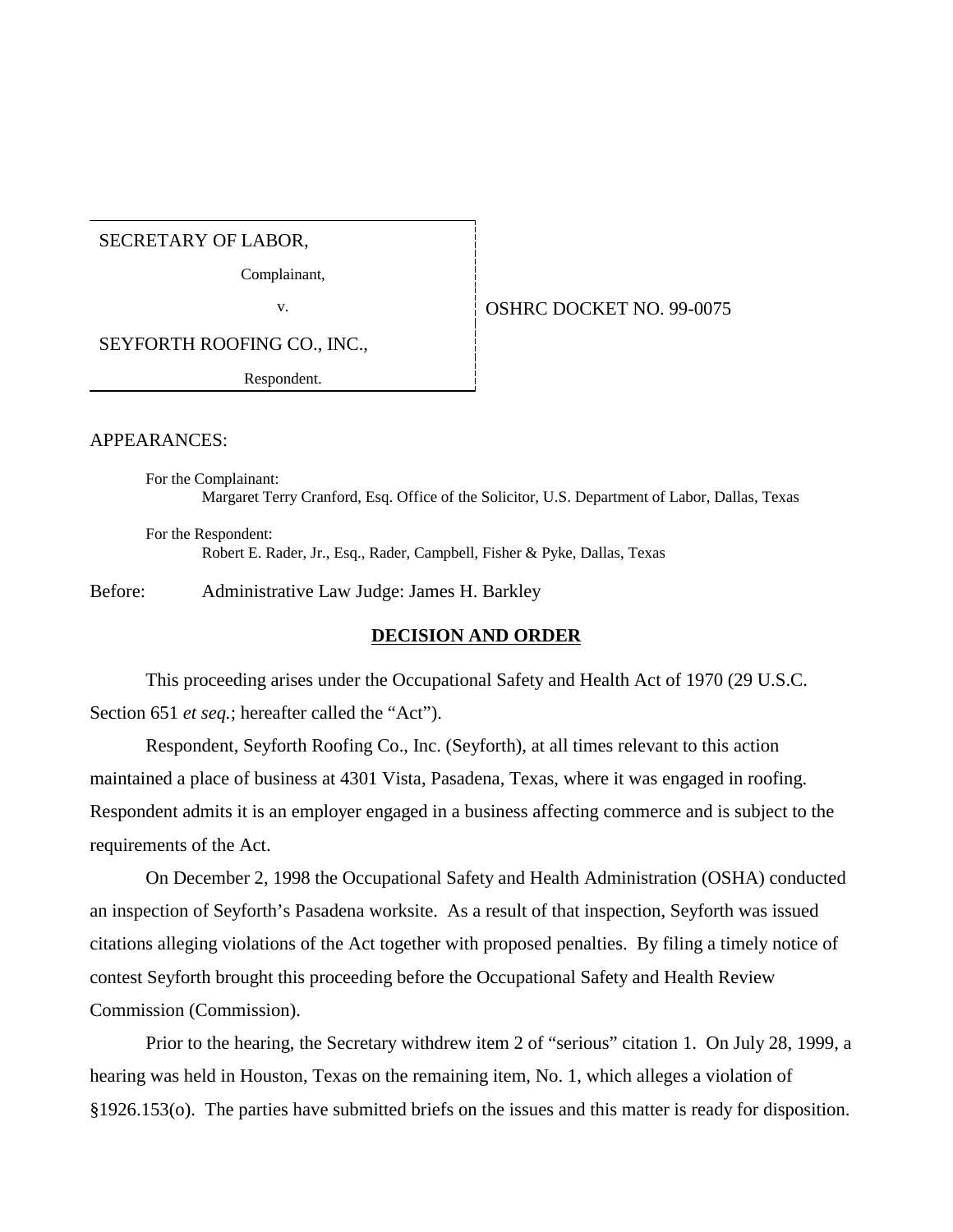SECRETARY OF LABOR,

Complainant,

v. **SEPTER SERVICE DOCKET NO. 99-0075** 

SEYFORTH ROOFING CO., INC.,

Respondent.

APPEARANCES:

For the Complainant: Margaret Terry Cranford, Esq. Office of the Solicitor, U.S. Department of Labor, Dallas, Texas

For the Respondent: Robert E. Rader, Jr., Esq., Rader, Campbell, Fisher & Pyke, Dallas, Texas

Before: Administrative Law Judge: James H. Barkley

# **DECISION AND ORDER**

This proceeding arises under the Occupational Safety and Health Act of 1970 (29 U.S.C. Section 651 *et seq.*; hereafter called the "Act").

Respondent, Seyforth Roofing Co., Inc. (Seyforth), at all times relevant to this action maintained a place of business at 4301 Vista, Pasadena, Texas, where it was engaged in roofing. Respondent admits it is an employer engaged in a business affecting commerce and is subject to the requirements of the Act.

On December 2, 1998 the Occupational Safety and Health Administration (OSHA) conducted an inspection of Seyforth's Pasadena worksite. As a result of that inspection, Seyforth was issued citations alleging violations of the Act together with proposed penalties. By filing a timely notice of contest Seyforth brought this proceeding before the Occupational Safety and Health Review Commission (Commission).

Prior to the hearing, the Secretary withdrew item 2 of "serious" citation 1. On July 28, 1999, a hearing was held in Houston, Texas on the remaining item, No. 1, which alleges a violation of §1926.153(o). The parties have submitted briefs on the issues and this matter is ready for disposition.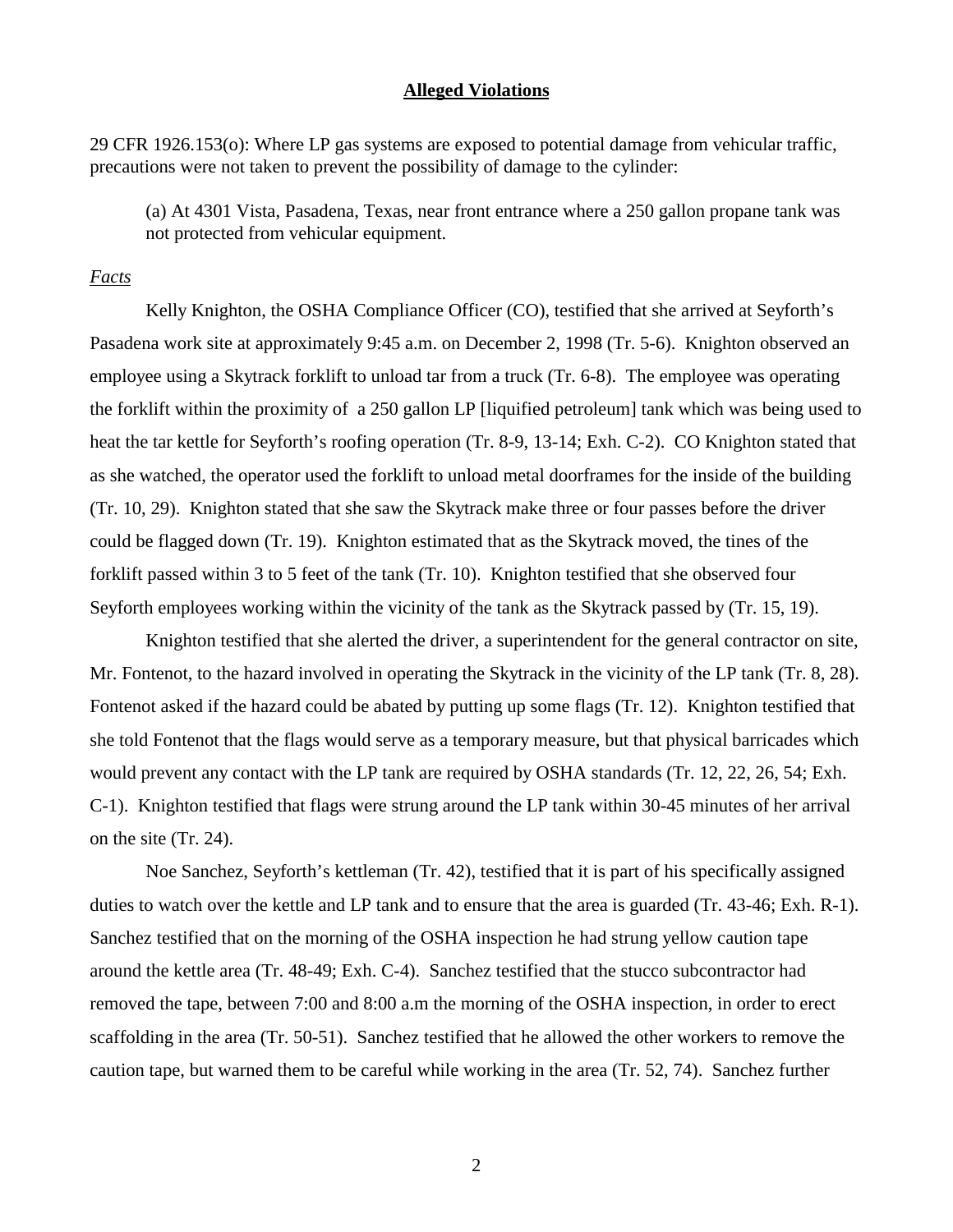# **Alleged Violations**

29 CFR 1926.153(o): Where LP gas systems are exposed to potential damage from vehicular traffic, precautions were not taken to prevent the possibility of damage to the cylinder:

(a) At 4301 Vista, Pasadena, Texas, near front entrance where a 250 gallon propane tank was not protected from vehicular equipment.

# *Facts*

Kelly Knighton, the OSHA Compliance Officer (CO), testified that she arrived at Seyforth's Pasadena work site at approximately 9:45 a.m. on December 2, 1998 (Tr. 5-6). Knighton observed an employee using a Skytrack forklift to unload tar from a truck (Tr. 6-8). The employee was operating the forklift within the proximity of a 250 gallon LP [liquified petroleum] tank which was being used to heat the tar kettle for Seyforth's roofing operation (Tr. 8-9, 13-14; Exh. C-2). CO Knighton stated that as she watched, the operator used the forklift to unload metal doorframes for the inside of the building (Tr. 10, 29). Knighton stated that she saw the Skytrack make three or four passes before the driver could be flagged down (Tr. 19). Knighton estimated that as the Skytrack moved, the tines of the forklift passed within 3 to 5 feet of the tank (Tr. 10). Knighton testified that she observed four Seyforth employees working within the vicinity of the tank as the Skytrack passed by (Tr. 15, 19).

Knighton testified that she alerted the driver, a superintendent for the general contractor on site, Mr. Fontenot, to the hazard involved in operating the Skytrack in the vicinity of the LP tank (Tr. 8, 28). Fontenot asked if the hazard could be abated by putting up some flags (Tr. 12). Knighton testified that she told Fontenot that the flags would serve as a temporary measure, but that physical barricades which would prevent any contact with the LP tank are required by OSHA standards (Tr. 12, 22, 26, 54; Exh. C-1). Knighton testified that flags were strung around the LP tank within 30-45 minutes of her arrival on the site (Tr. 24).

Noe Sanchez, Seyforth's kettleman (Tr. 42), testified that it is part of his specifically assigned duties to watch over the kettle and LP tank and to ensure that the area is guarded (Tr. 43-46; Exh. R-1). Sanchez testified that on the morning of the OSHA inspection he had strung yellow caution tape around the kettle area (Tr. 48-49; Exh. C-4). Sanchez testified that the stucco subcontractor had removed the tape, between 7:00 and 8:00 a.m the morning of the OSHA inspection, in order to erect scaffolding in the area (Tr. 50-51). Sanchez testified that he allowed the other workers to remove the caution tape, but warned them to be careful while working in the area (Tr. 52, 74). Sanchez further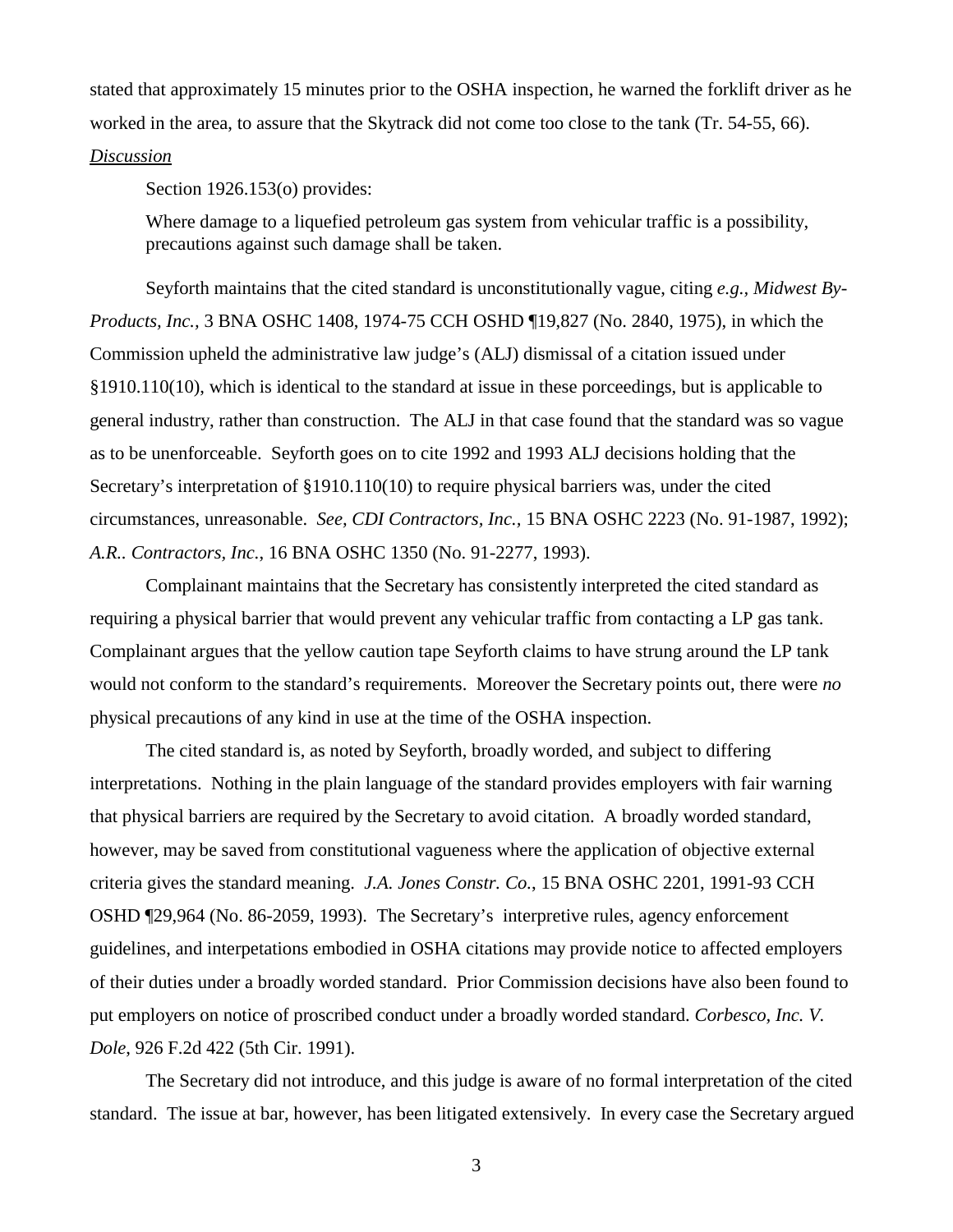stated that approximately 15 minutes prior to the OSHA inspection, he warned the forklift driver as he worked in the area, to assure that the Skytrack did not come too close to the tank (Tr. 54-55, 66).

#### *Discussion*

Section 1926.153(o) provides:

Where damage to a liquefied petroleum gas system from vehicular traffic is a possibility, precautions against such damage shall be taken.

Seyforth maintains that the cited standard is unconstitutionally vague, citing *e.g., Midwest By-Products, Inc.,* 3 BNA OSHC 1408, 1974-75 CCH OSHD ¶19,827 (No. 2840, 1975), in which the Commission upheld the administrative law judge's (ALJ) dismissal of a citation issued under §1910.110(10), which is identical to the standard at issue in these porceedings, but is applicable to general industry, rather than construction. The ALJ in that case found that the standard was so vague as to be unenforceable. Seyforth goes on to cite 1992 and 1993 ALJ decisions holding that the Secretary's interpretation of §1910.110(10) to require physical barriers was, under the cited circumstances, unreasonable. *See, CDI Contractors, Inc.,* 15 BNA OSHC 2223 (No. 91-1987, 1992); *A.R.. Contractors, Inc.*, 16 BNA OSHC 1350 (No. 91-2277, 1993).

Complainant maintains that the Secretary has consistently interpreted the cited standard as requiring a physical barrier that would prevent any vehicular traffic from contacting a LP gas tank. Complainant argues that the yellow caution tape Seyforth claims to have strung around the LP tank would not conform to the standard's requirements. Moreover the Secretary points out, there were *no* physical precautions of any kind in use at the time of the OSHA inspection.

The cited standard is, as noted by Seyforth, broadly worded, and subject to differing interpretations. Nothing in the plain language of the standard provides employers with fair warning that physical barriers are required by the Secretary to avoid citation. A broadly worded standard, however, may be saved from constitutional vagueness where the application of objective external criteria gives the standard meaning. *J.A. Jones Constr. Co.*, 15 BNA OSHC 2201, 1991-93 CCH OSHD ¶29,964 (No. 86-2059, 1993). The Secretary's interpretive rules, agency enforcement guidelines, and interpetations embodied in OSHA citations may provide notice to affected employers of their duties under a broadly worded standard. Prior Commission decisions have also been found to put employers on notice of proscribed conduct under a broadly worded standard. *Corbesco, Inc. V. Dole*, 926 F.2d 422 (5th Cir. 1991).

The Secretary did not introduce, and this judge is aware of no formal interpretation of the cited standard. The issue at bar, however, has been litigated extensively. In every case the Secretary argued

3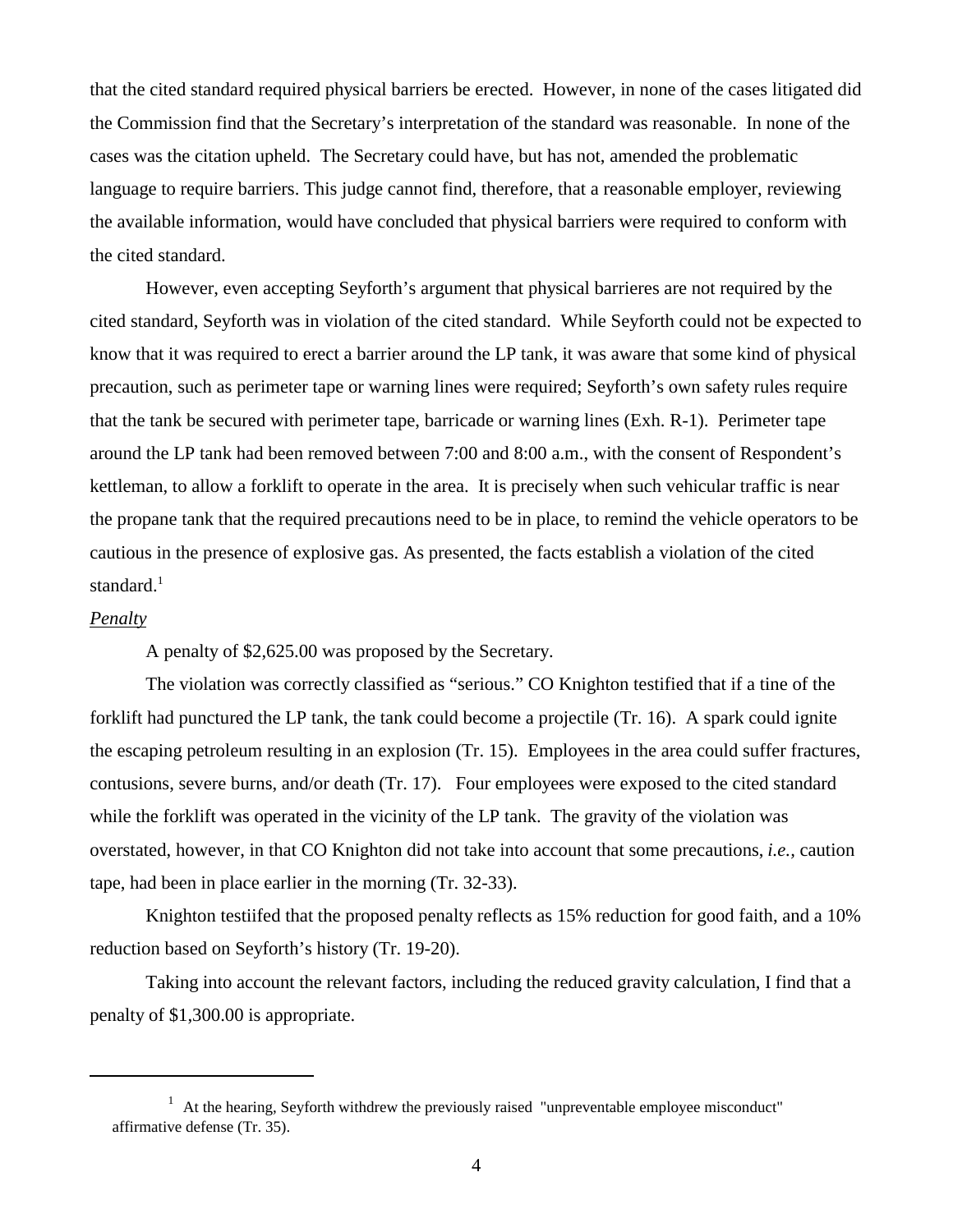that the cited standard required physical barriers be erected. However, in none of the cases litigated did the Commission find that the Secretary's interpretation of the standard was reasonable. In none of the cases was the citation upheld. The Secretary could have, but has not, amended the problematic language to require barriers. This judge cannot find, therefore, that a reasonable employer, reviewing the available information, would have concluded that physical barriers were required to conform with the cited standard.

However, even accepting Seyforth's argument that physical barrieres are not required by the cited standard, Seyforth was in violation of the cited standard. While Seyforth could not be expected to know that it was required to erect a barrier around the LP tank, it was aware that some kind of physical precaution, such as perimeter tape or warning lines were required; Seyforth's own safety rules require that the tank be secured with perimeter tape, barricade or warning lines (Exh. R-1). Perimeter tape around the LP tank had been removed between 7:00 and 8:00 a.m., with the consent of Respondent's kettleman, to allow a forklift to operate in the area. It is precisely when such vehicular traffic is near the propane tank that the required precautions need to be in place, to remind the vehicle operators to be cautious in the presence of explosive gas. As presented, the facts establish a violation of the cited standard. $<sup>1</sup>$ </sup>

# *Penalty*

A penalty of \$2,625.00 was proposed by the Secretary.

The violation was correctly classified as "serious." CO Knighton testified that if a tine of the forklift had punctured the LP tank, the tank could become a projectile (Tr. 16). A spark could ignite the escaping petroleum resulting in an explosion (Tr. 15). Employees in the area could suffer fractures, contusions, severe burns, and/or death (Tr. 17). Four employees were exposed to the cited standard while the forklift was operated in the vicinity of the LP tank. The gravity of the violation was overstated, however, in that CO Knighton did not take into account that some precautions, *i.e.,* caution tape, had been in place earlier in the morning (Tr. 32-33).

Knighton testiifed that the proposed penalty reflects as 15% reduction for good faith, and a 10% reduction based on Seyforth's history (Tr. 19-20).

Taking into account the relevant factors, including the reduced gravity calculation, I find that a penalty of \$1,300.00 is appropriate.

 $1$  At the hearing, Seyforth withdrew the previously raised "unpreventable employee misconduct" affirmative defense (Tr. 35).